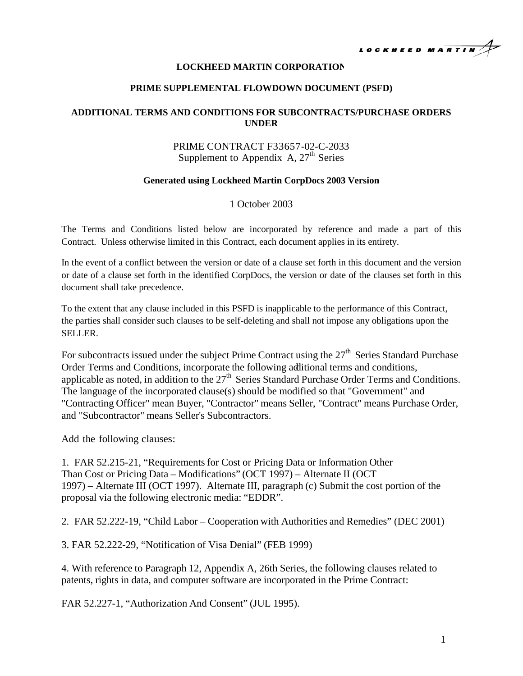

### **LOCKHEED MARTIN CORPORATION**

#### **PRIME SUPPLEMENTAL FLOWDOWN DOCUMENT (PSFD)**

### **ADDITIONAL TERMS AND CONDITIONS FOR SUBCONTRACTS/PURCHASE ORDERS UNDER**

## PRIME CONTRACT F33657-02-C-2033 Supplement to Appendix A,  $27<sup>th</sup>$  Series

### **Generated using Lockheed Martin CorpDocs 2003 Version**

### 1 October 2003

The Terms and Conditions listed below are incorporated by reference and made a part of this Contract. Unless otherwise limited in this Contract, each document applies in its entirety.

In the event of a conflict between the version or date of a clause set forth in this document and the version or date of a clause set forth in the identified CorpDocs, the version or date of the clauses set forth in this document shall take precedence.

To the extent that any clause included in this PSFD is inapplicable to the performance of this Contract, the parties shall consider such clauses to be self-deleting and shall not impose any obligations upon the SELLER.

For subcontracts issued under the subject Prime Contract using the  $27<sup>th</sup>$  Series Standard Purchase Order Terms and Conditions, incorporate the following additional terms and conditions, applicable as noted, in addition to the  $27<sup>th</sup>$  Series Standard Purchase Order Terms and Conditions. The language of the incorporated clause(s) should be modified so that "Government" and "Contracting Officer" mean Buyer, "Contractor" means Seller, "Contract" means Purchase Order, and "Subcontractor" means Seller's Subcontractors.

Add the following clauses:

1. FAR 52.215-21, "Requirementsfor Cost or Pricing Data or Information Other Than Cost or Pricing Data – Modifications" (OCT 1997) – Alternate II (OCT 1997) – Alternate III (OCT 1997). Alternate III, paragraph (c) Submit the cost portion of the proposal via the following electronic media: "EDDR".

2. FAR 52.222-19, "Child Labor – Cooperation with Authorities and Remedies" (DEC 2001)

3. FAR 52.222-29, "Notification of Visa Denial" (FEB 1999)

4. With reference to Paragraph 12, Appendix A, 26th Series, the following clauses related to patents, rights in data, and computer software are incorporated in the Prime Contract:

FAR 52.227-1, "Authorization And Consent" (JUL 1995).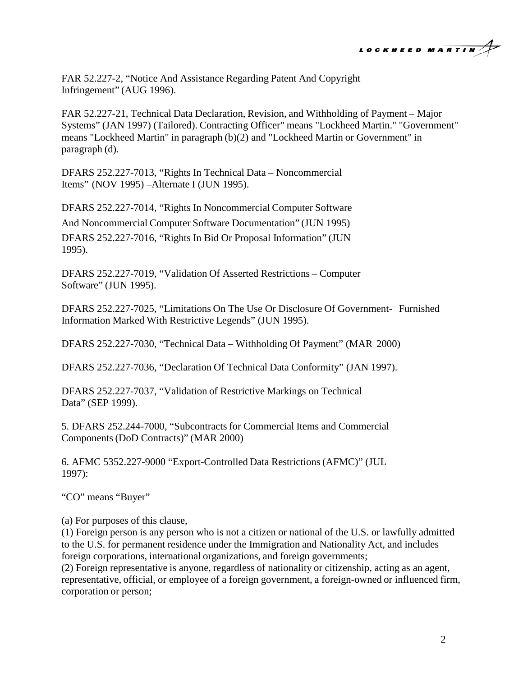

FAR 52.227-2, "Notice And Assistance Regarding Patent And Copyright Infringement" (AUG 1996).

FAR 52.227-21, Technical Data Declaration, Revision, and Withholding of Payment – Major Systems" (JAN 1997) (Tailored). Contracting Officer" means "Lockheed Martin." "Government" means "Lockheed Martin" in paragraph (b)(2) and "Lockheed Martin or Government" in paragraph (d).

DFARS 252.227-7013, "Rights In Technical Data – Noncommercial Items" (NOV 1995) –Alternate I (JUN 1995).

DFARS 252.227-7014, "Rights In Noncommercial Computer Software And Noncommercial Computer Software Documentation" (JUN 1995) DFARS 252.227-7016, "Rights In Bid Or Proposal Information" (JUN 1995).

DFARS 252.227-7019, "Validation Of Asserted Restrictions – Computer Software" (JUN 1995).

DFARS 252.227-7025, "Limitations On The Use Or Disclosure Of Government- Furnished Information Marked With Restrictive Legends" (JUN 1995).

DFARS 252.227-7030, "Technical Data – Withholding Of Payment" (MAR 2000)

DFARS 252.227-7036, "Declaration Of Technical Data Conformity" (JAN 1997).

DFARS 252.227-7037, "Validation of Restrictive Markings on Technical Data" (SEP 1999).

5. DFARS 252.244-7000, "Subcontracts for Commercial Items and Commercial Components (DoD Contracts)" (MAR 2000)

6. AFMC 5352.227-9000 "Export-Controlled Data Restrictions (AFMC)" (JUL 1997):

"CO" means "Buyer"

(a) For purposes of this clause,

(1) Foreign person is any person who is not a citizen or national of the U.S. or lawfully admitted to the U.S. for permanent residence under the Immigration and Nationality Act, and includes foreign corporations, international organizations, and foreign governments;

(2) Foreign representative is anyone, regardless of nationality or citizenship, acting as an agent, representative, official, or employee of a foreign government, a foreign-owned or influenced firm, corporation or person;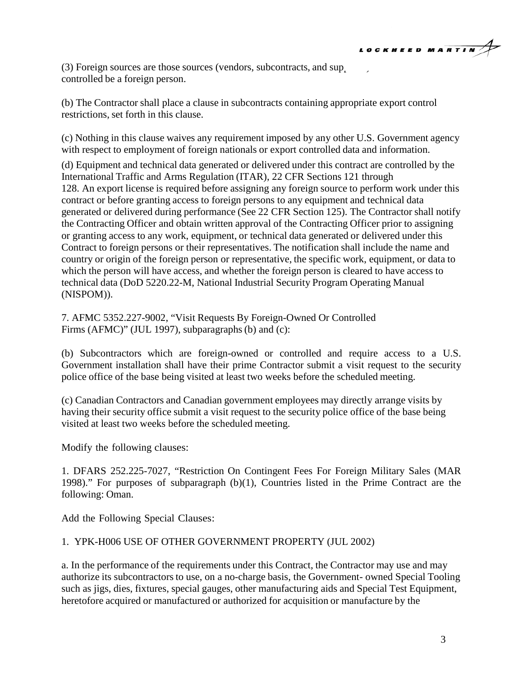

 $(3)$  Foreign sources are those sources (vendors, subcontracts, and supplementally) controlled be a foreign person.

(b) The Contractor shall place a clause in subcontracts containing appropriate export control restrictions, set forth in this clause.

(c) Nothing in this clause waives any requirement imposed by any other U.S. Government agency with respect to employment of foreign nationals or export controlled data and information.

(d) Equipment and technical data generated or delivered under this contract are controlled by the International Traffic and Arms Regulation (ITAR), 22 CFR Sections 121 through 128. An export license is required before assigning any foreign source to perform work under this contract or before granting access to foreign persons to any equipment and technical data generated or delivered during performance (See 22 CFR Section 125). The Contractor shall notify the Contracting Officer and obtain written approval of the Contracting Officer prior to assigning or granting access to any work, equipment, or technical data generated or delivered under this Contract to foreign persons or their representatives. The notification shall include the name and country or origin of the foreign person or representative, the specific work, equipment, or data to which the person will have access, and whether the foreign person is cleared to have access to technical data (DoD 5220.22-M, National Industrial Security Program Operating Manual (NISPOM)).

7. AFMC 5352.227-9002, "Visit Requests By Foreign-Owned Or Controlled Firms (AFMC)" (JUL 1997), subparagraphs (b) and (c):

(b) Subcontractors which are foreign-owned or controlled and require access to a U.S. Government installation shall have their prime Contractor submit a visit request to the security police office of the base being visited at least two weeks before the scheduled meeting.

(c) Canadian Contractors and Canadian government employees may directly arrange visits by having their security office submit a visit request to the security police office of the base being visited at least two weeks before the scheduled meeting.

Modify the following clauses:

1. DFARS 252.225-7027, "Restriction On Contingent Fees For Foreign Military Sales (MAR 1998)." For purposes of subparagraph (b)(1), Countries listed in the Prime Contract are the following: Oman.

Add the Following Special Clauses:

# 1. YPK-H006 USE OF OTHER GOVERNMENT PROPERTY (JUL 2002)

a. In the performance of the requirements under this Contract, the Contractor may use and may authorize its subcontractors to use, on a no-charge basis, the Government- owned Special Tooling such as jigs, dies, fixtures, special gauges, other manufacturing aids and Special Test Equipment, heretofore acquired or manufactured or authorized for acquisition or manufacture by the